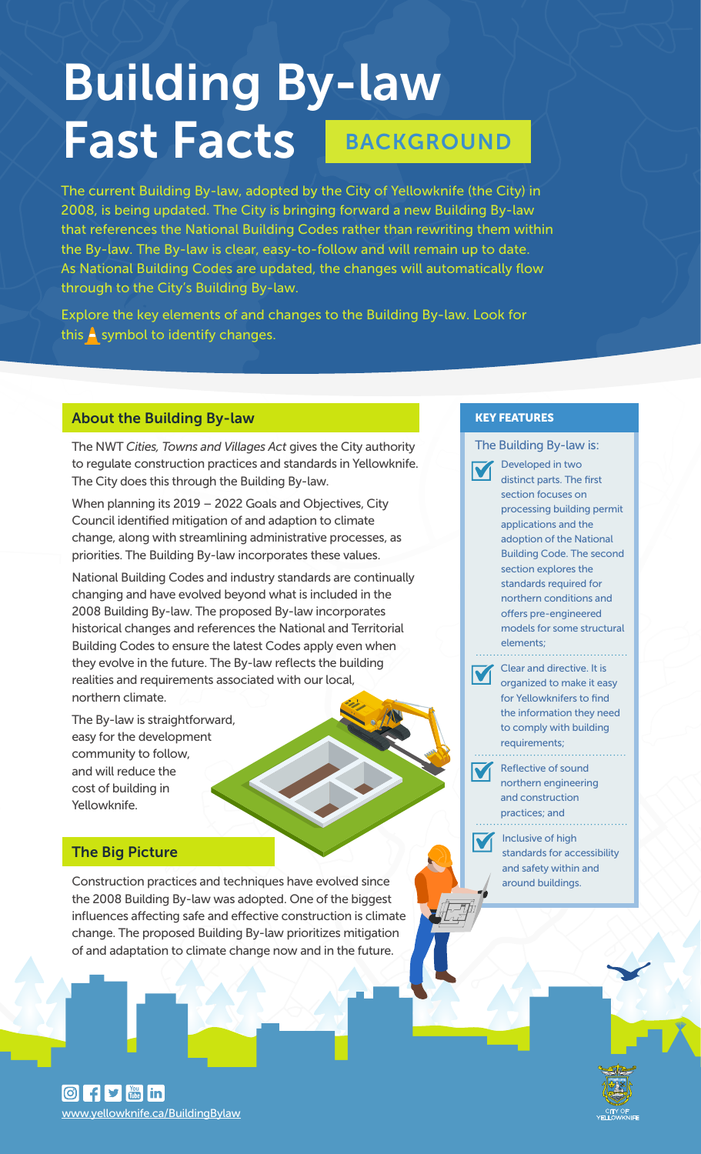# Building By-law Fast Facts BACKGROUND

The current Building By-law, adopted by the City of Yellowknife (the City) in 2008, is being updated. The City is bringing forward a new Building By-law that references the National Building Codes rather than rewriting them within the By-law. The By-law is clear, easy-to-follow and will remain up to date. As National Building Codes are updated, the changes will automatically flow through to the City's Building By-law.

Explore the key elements of and changes to the Building By-law. Look for this  $\blacktriangle$  symbol to identify changes.

### About the Building By-law

The NWT *Cities, Towns and Villages Act* gives the City authority to regulate construction practices and standards in Yellowknife. The City does this through the Building By-law.

When planning its 2019 – 2022 Goals and Objectives, City Council identified mitigation of and adaption to climate change, along with streamlining administrative processes, as priorities. The Building By-law incorporates these values.

National Building Codes and industry standards are continually changing and have evolved beyond what is included in the 2008 Building By-law. The proposed By-law incorporates historical changes and references the National and Territorial Building Codes to ensure the latest Codes apply even when they evolve in the future. The By-law reflects the building realities and requirements associated with our local, northern climate.

The By-law is straightforward, easy for the development community to follow, and will reduce the cost of building in Yellowknife.

## The Big Picture

Construction practices and techniques have evolved since the 2008 Building By-law was adopted. One of the biggest influences affecting safe and effective construction is climate change. The proposed Building By-law prioritizes mitigation of and adaptation to climate change now and in the future.

### KEY FEATURES



 $\boxed{0}$  f y  $\boxed{m}$  in www.yellowknife.ca/BuildingBylaw